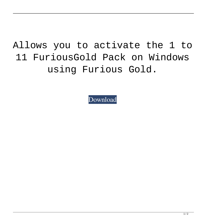## Allows you to activate the 1 to 11 FuriousGold Pack on Windows using Furious Gold.

[Download](https://urloso.com/2kztgj)